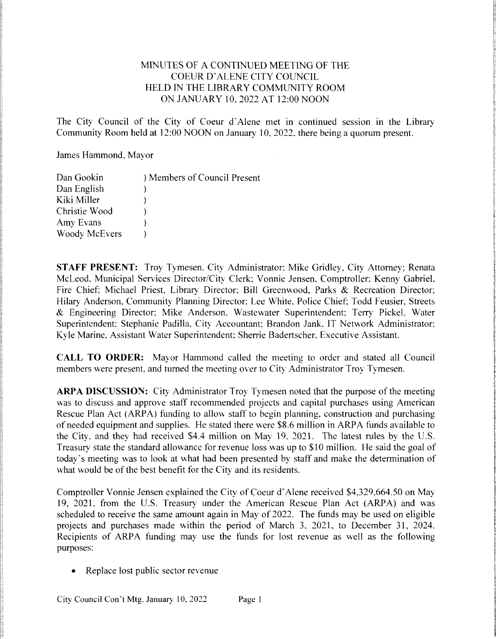# MINUTES OF A CONTINUED MEETING OFTHE COEURD'ALENE CITY COUNCIL HELD IN THE LIBRARY COMMUNITY ROOM ON JANUARY 10, 2022 AT 12:00 NOON

The City Council of the City of Coeur d'Alene met in continued session in the Library Community Room held at 12:00 NOON on January 10, 2022, there being a quorum present.

James Hammond, Mayor

| Dan Gookin           | ) Members of Council Present |
|----------------------|------------------------------|
| Dan English          |                              |
| Kiki Miller          |                              |
| Christie Wood        |                              |
| Amy Evans            |                              |
| <b>Woody McEvers</b> |                              |

STAFF PRESENT: Troy Tymesen, City Administrator; Mike Gridley, City Attorney; Renata McLeod. Municipal Services Director/City Clerk; Vonnie Jensen. Comptroller; Kenny Gabriel. Fire Chief; Michael Priest, Library Director; Bill Greenwood, Parks & Recreation Director; Hilary Anderson, Community Planning Director: Lee White. Police Chief; Todd Feusier, Streets & Engineering Director; Mike Anderson, Wastewater Superintendent; Terry Pickel, Water Superintendent; Stephanie Padilla. City Accountant; Brandon Jank, IT Network Administrator; Kyle Marine, Assistant Water Superintendent; Sherrie Badertscher, Executive Assistant.

CALL TO ORDER: Mayor Hammond called the meeting to order and stated all Council members were present, and turned the meeting over to City Administrator Troy Tymesen.

ARPA DISCUSSION: City Administrator Troy Tymesen noted that the purpose of the meeting was to discuss and approve staff recommended projects and capital purchases using American Rescue Plan Act (ARPA) funding to allow staff to begin planning, construction and purchasing of needed equipment and supplies. He stated there were \$8.6 million in ARPA funds available to the City, and they had received \$4.4 million on May 19, 2021. The latest rules by the U.S. Treasury state the standard allowance for revenue loss was up to \$10 million. He said the goal of today's meeting was to look at what had been presented by staff and make the determination of what would be of the best benefit for the City and its residents.

Comptroller Vonnie Jensen explained the City of Coeur d'Alene received \$4,329,664.50 on May 19, 2021, from the U.S. Treasury under the American Rescue Plan Act (ARPA) and was scheduled to receive the same amount again in May of 2022. The funds may be used on eligible projects and purchases made within the period of March 3, 2021, to December 31, 2024. Recipients of ARPA funding may use the funds for lost revenue as well as the following purposes:

 $\bullet$  Replace lost public sector revenue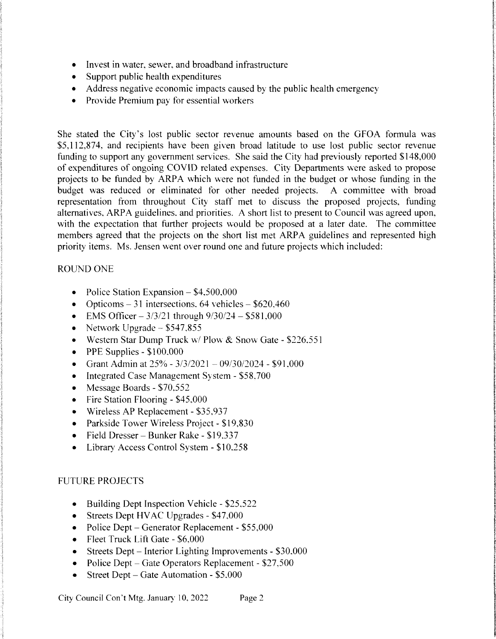- Invest in water, sewer, and broadband infrastructure  $\bullet$
- Support public health expenditures
- Address negative economic impacts caused by the public health emergency
- Provide Premium pay for essential workers  $\bullet$

She stated the City's lost public sector revenue amounts based on the GFOA formula was \$5,112,874, and recipients have been given broad latitude to use lost public sector revenue funding to support any government services. She said the City had previously reported \$148,000 of expenditures of ongoing COVID related expenses. City Departments were asked to propose projects to be funded by ARPA which were not funded in the budget or whose funding in the budget was reduced or eliminated for other needed projects. A committee with broad representation from throughout City staff met to discuss the proposed projects, funding alternatives, ARPA guidelines, and priorities. A short list to present to Council was agreed upon, with the expectation that further projects would be proposed at a later date. The committee members agreed that the projects on the short list met ARPA guidelines and represented high priority items. Ms. Jensen went over round one and future projects which included:

### **ROUND ONE**

- Police Station Expansion  $-$  \$4,500,000
- Opticoms 31 intersections, 64 vehicles  $$620,460$
- EMS Officer  $3/3/21$  through  $9/30/24 $581,000$
- Network Upgrade  $-$  \$547,855
- Western Star Dump Truck w/ Plow & Snow Gate \$226,551  $\bullet$
- PPE Supplies \$100,000  $\bullet$
- Grant Admin at  $25\% 3/3/2021 09/30/2024 $91,000$  $\bullet$
- Integrated Case Management System \$58,700  $\bullet$
- Message Boards \$70,552  $\bullet$
- Fire Station Flooring \$45,000  $\bullet$
- Wireless AP Replacement \$35,937
- Parkside Tower Wireless Project \$19,830
- Field Dresser Bunker Rake \$19,337
- Library Access Control System \$10.258

### **FUTURE PROJECTS**

- Building Dept Inspection Vehicle \$25,522
- Streets Dept HVAC Upgrades \$47,000
- Police Dept Generator Replacement \$55,000
- Fleet Truck Lift Gate \$6,000
- Streets Dept Interior Lighting Improvements  $$30,000$
- Police Dept Gate Operators Replacement  $$27,500$
- Street Dept Gate Automation \$5,000  $\bullet$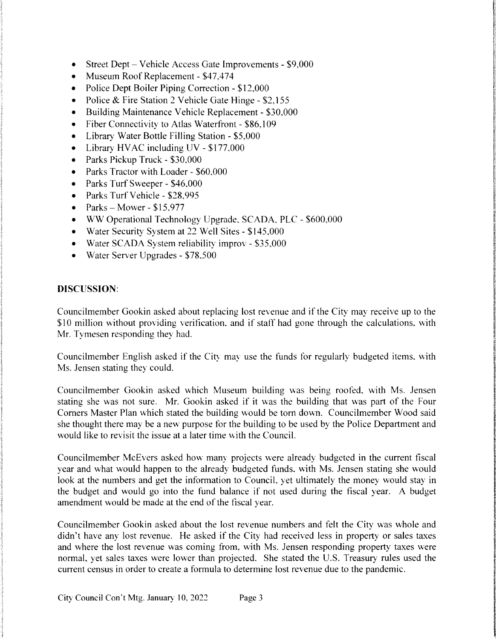- Street Dept Vehicle Access Gate Improvements \$9,000  $\bullet$
- Museum Roof Replacement \$47,474
- Police Dept Boiler Piping Correction \$12,000  $\bullet$
- Police & Fire Station 2 Vehicle Gate Hinge \$2,155  $\bullet$
- Building Maintenance Vehicle Replacement \$30,000  $\bullet$
- $\bullet$ Fiber Connectivity to Atlas Waterfront - \$86,109
- Library Water Bottle Filling Station \$5,000  $\bullet$
- Library HVAC including  $UV $177,000$  $\bullet$
- Parks Pickup Truck \$30,000  $\bullet$
- Parks Tractor with Loader \$60,000  $\bullet$
- Parks Turf Sweeper \$46,000  $\bullet$
- Parks Turf Vehicle \$28,995
- Parks—Mower—\$15.977  $\bullet$
- WW Operational Technology Upgrade, SCADA, PLC \$600,000  $\bullet$
- Water Security System at 22 Well Sites \$145,000
- Water SCADA System reliability improv \$35,000
- Water Server Upgrades \$78,500

# DISCUSSION:

Councilmember Gookin asked about replacing lost revenue and if the City may receive up to the \$10 million without providing verification, and if staff had gone through the calculations, with Mr. Tymesen responding they had.

Councilmember English asked if the City may use the funds for regularly budgeted items, with Ms. Jensen stating they could.

Councilmember Gookin asked which Museum building was being roofed, with Ms. Jensen stating she was not sure. Mr. Gookin asked if it was the building that was part of the Four Corners Master Plan which stated the building would be torn down. Councilmember Wood said she thought there may be a new purpose for the building to be used by the Police Department and would like to revisit the issue at a later time with the Council.

Councilmember McEvers asked how many projects were already budgeted in the current fiscal year and what would happen to the already budgeted funds, with Ms. Jensen stating she would look at the numbers and get the information to Council, yet ultimately the money would stay in the budget and would go into the fund balance if not used during the fiscal year. A budget amendment would be made at the end of the fiscal year.

Councilmember Gookin asked about the lost revenue numbers and felt the City was whole and didn't have any lost revenue. He asked if the City had received less in property or sales taxes and where the lost revenue was coming from, with Ms. Jensen responding property taxes were normal, yet sales taxes were lower than projected. She stated the U.S. Treasury rules used the current census in order to create a formula to determine lost revenue due to the pandemic.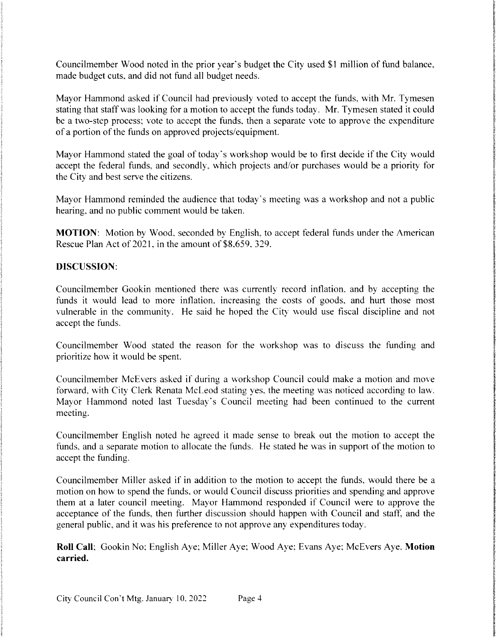Councilmember Wood noted in the prior year's budget the City used \$1 million of fund balance, made budget cuts, and did not fund all budget needs.

Mayor Hammond asked if Council had previously voted to accept the funds, with Mr. Tymesen stating that staff was looking for a motion to accept the funds today. Mr. Tymesen stated it could be a two-step process; vote to accept the funds, then a separate vote to approve the expenditure of a portion of the funds on approved projects/equipment.

Mayor Hammond stated the goal of today's workshop would be to first decide if the City would accept the federal funds, and secondly, which projects and/or purchases would be a priority for the City and best serve the citizens.

Mayor Hammond reminded the audience that today's meeting was a workshop and not a public hearing, and no public comment would be taken.

MOTION: Motion by Wood, seconded by English, to accept federal funds under the American Rescue Plan Act of 2021, in the amount of \$8,659, 329.

# DISCUSSION:

Councilmember Gookin mentioned there was currently record inflation, and by accepting the funds it would lead to more inflation, increasing the costs of goods, and hurt those most vulnerable in the community. He said he hoped the City would use fiscal discipline and not accept the funds.

Councilmember Wood stated the reason for the workshop was to discuss the funding and prioritize how it would be spent.

Councilmember McEvers asked if during a workshop Council could make a motion and move forward, with City Clerk Renata McLeod stating yes, the meeting was noticed according to law. Mayor Hammond noted last Tuesday's Council meeting had been continued to the current meeting.

Councilmember English noted he agreed it made sense to break out the motion to accept the funds, and a separate motion to allocate the funds. He stated he was in support of the motion to accept the funding.

Councilmember Miller asked if in addition to the motion to accept the funds, would there be a motion on how to spend the funds, or would Council discuss priorities and spending and approve them at a later council meeting. Mayor Hammond responded if Council were to approve the acceptance of the funds, then further discussion should happen with Council and staff, and the general public, and it was his preference to not approve any expenditures today.

Roll Call; Gookin No; English Aye; Miller Aye; Wood Aye; Evans Aye; McEvers Aye. Motion carried.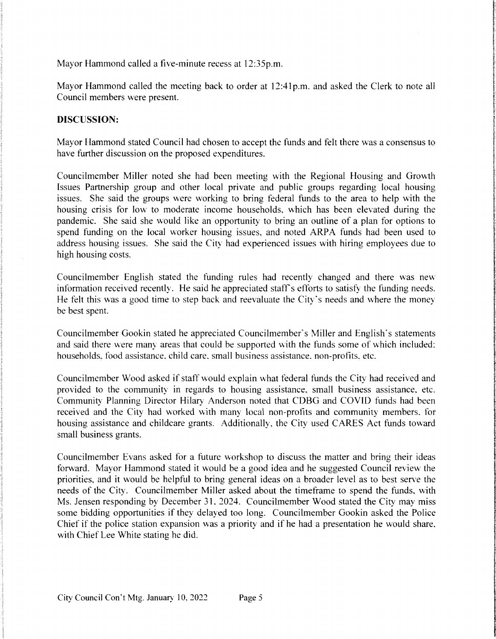Mayor Hammond called a five-minute recess at 12:35p.m.

Mayor Hammond called the meeting back to order at 12:41p.m. and asked the Clerk to note all Council members were present.

#### DISCUSSION:

Mayor Hammond stated Council had chosen to accept the funds and felt there was a consensus to have further discussion on the proposed expenditures.

Councilmember Miller noted she had been meeting with the Regional Housing and Growth Issues Partnership group and other local private and public groups regarding local housing issues. She said the groups were working to bring federal funds to the area to help with the housing crisis for low to moderate income households, which has been elevated during the pandemic. She said she would like an opportunity to bring an outline of a plan for options to spend funding on the local worker housing issues, and noted ARPA funds had been used to address housing issues. She said the City had experienced issues with hiring employees due to high housing costs.

Councilmember English stated the funding rules had recently changed and there was new information received recently. He said he appreciated staff's efforts to satisfy the funding needs. He felt this was a good time to step back and reevaluate the City's needs and where the money be best spent.

Councilmember Gookin stated he appreciated Councilmember's Miller and English's statements and said there were many areas that could be supported with the funds some of which included: households, food assistance, child care, small business assistance, non-profits, etc.

Councilmember Wood asked if staff would explain what federal funds the City had received and provided to the community in regards to housing assistance, small business assistance, etc. Community Planning Director Hilary Anderson noted that CDBG and COVID funds had been received and the City had worked with many local non-profits and community members. for housing assistance and childcare grants. Additionally, the City used CARES Act funds toward small business grants.

Councilmember Evans asked for a future workshop to discuss the matter and bring their ideas forward. Mayor Hammond stated it would be a good idea and he suggested Council review the priorities, and it would be helpful to bring general ideas on a broader level as to best serve the needs of the City. Councilmember Miller asked about the timeframe to spend the funds, with Ms. Jensen responding by December 31. 2024. Councilmember Wood stated the City may miss some bidding opportunities if they delayed too long. Councilmember Gookin asked the Police Chief if the police station expansion was a priority and if he had a presentation he would share. with Chief Lee White stating he did.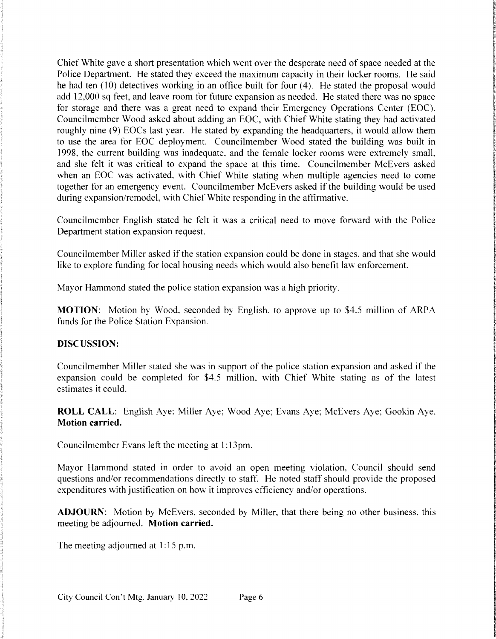Chief White gave a short presentation which went over the desperate need of space needed at the Police Department. He stated they exceed the maximum capacity in their locker rooms. He said he had ten  $(10)$  detectives working in an office built for four  $(4)$ . He stated the proposal would add 12,000 sq feet, and leave room for future expansion as needed. He stated there was no space for storage and there was a great need to expand their Emergency Operations Center (EOC). Councilmember Wood asked about adding an EOC, with Chief White stating they had activated roughly nine (9) EOCs last year. He stated by expanding the headquarters, it would allow them to use the area for EOC deployment. Councilmember Wood stated the building was built in 1998, the current building was inadequate, and the female locker rooms were extremely small, and she felt it was critical to expand the space at this time. Councilmember McEvers asked when an EOC was activated, with Chief White stating when multiple agencies need to come together for an emergency event. Councilmember McEvers asked if the building would be used during expansion/remodel, with Chief White responding in the affirmative.

Councilmember English stated he felt it was a critical need to move forward with the Police Department station expansion request.

Councilmember Miller asked if the station expansion could be done in stages, and that she would like to explore funding for local housing needs which would also benefit law enforcement.

Mayor Hammond stated the police station expansion was a high priority.

**MOTION:** Motion by Wood, seconded by English, to approve up to \$4.5 million of ARPA funds for the Police Station Expansion.

#### DISCUSSION:

Councilmember Miller stated she was in support of the police station expansion and asked if the expansion could be completed for  $$4.5$  million, with Chief White stating as of the latest estimates it could.

ROLL CALL: English Aye; Miller Aye; Wood Aye; Evans Aye; McEvers Aye; Gookin Aye. Motion carried.

Councilmember Evans left the meeting at 1:13pm.

Mayor Hammond stated in order to avoid an open meeting violation, Council should send questions and/or recommendations directly to staff. He noted staff should provide the proposed expenditures with justification on how it improves efficiency and/or operations.

ADJOURN: Motion by McEvers, seconded by Miller, that there being no other business, this meeting be adjourned. Motion carried.

The meeting adjourned at  $1:15$  p.m.